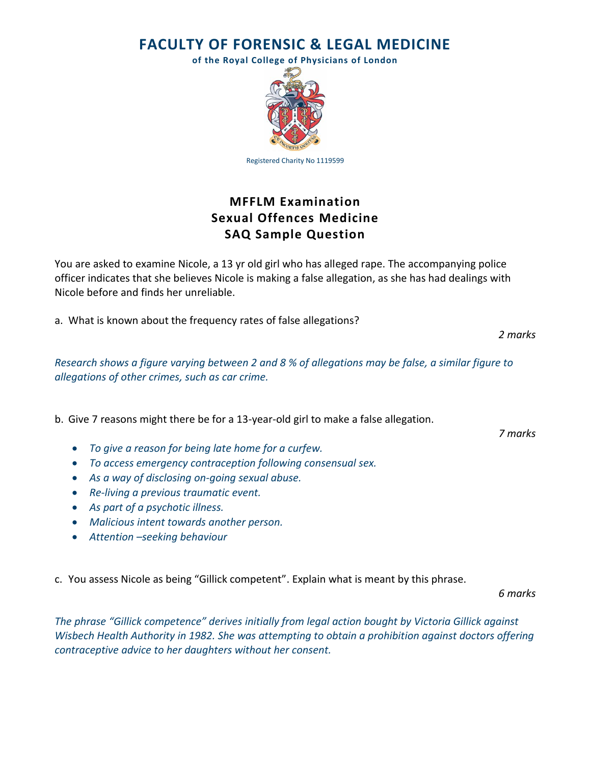**FACULTY OF FORENSIC & LEGAL MEDICINE**

**of the Royal College of Physicians of London**



Registered Charity No 1119599

## **MFFLM Examination Sexual Offences Medicine SAQ Sample Question**

You are asked to examine Nicole, a 13 yr old girl who has alleged rape. The accompanying police officer indicates that she believes Nicole is making a false allegation, as she has had dealings with Nicole before and finds her unreliable.

a. What is known about the frequency rates of false allegations?

*2 marks*

*Research shows a figure varying between 2 and 8 % of allegations may be false, a similar figure to allegations of other crimes, such as car crime.* 

b. Give 7 reasons might there be for a 13-year-old girl to make a false allegation.

*To give a reason for being late home for a curfew.*

- *To access emergency contraception following consensual sex.*
- *As a way of disclosing on-going sexual abuse.*
- *Re-living a previous traumatic event.*
- *As part of a psychotic illness.*
- *Malicious intent towards another person.*
- *Attention –seeking behaviour*

c. You assess Nicole as being "Gillick competent". Explain what is meant by this phrase.

*6 marks*

*The phrase "Gillick competence" derives initially from legal action bought by Victoria Gillick against Wisbech Health Authority in 1982. She was attempting to obtain a prohibition against doctors offering contraceptive advice to her daughters without her consent.*

*7 marks*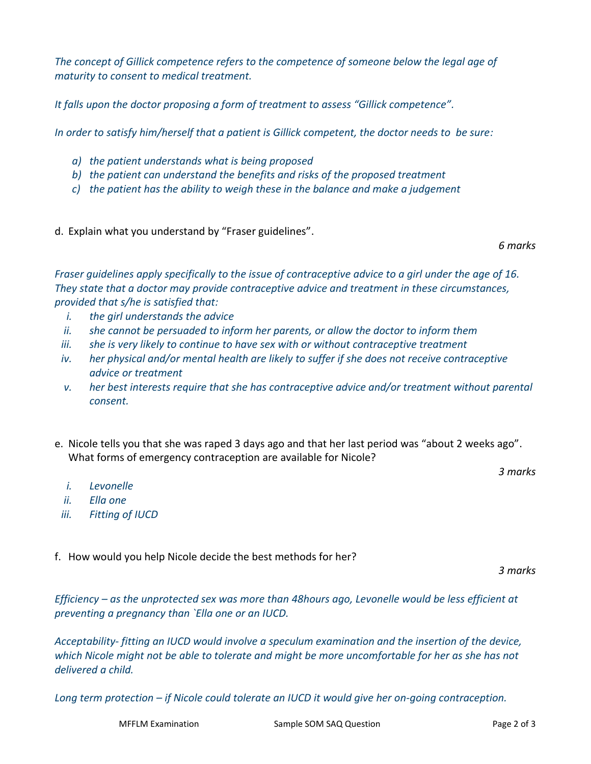*The concept of Gillick competence refers to the competence of someone below the legal age of maturity to consent to medical treatment.*

*It falls upon the doctor proposing a form of treatment to assess "Gillick competence".*

*In order to satisfy him/herself that a patient is Gillick competent, the doctor needs to be sure:*

- *a) the patient understands what is being proposed*
- *b) the patient can understand the benefits and risks of the proposed treatment*
- *c) the patient has the ability to weigh these in the balance and make a judgement*
- d. Explain what you understand by "Fraser guidelines".

*6 marks*

*Fraser guidelines apply specifically to the issue of contraceptive advice to a girl under the age of 16. They state that a doctor may provide contraceptive advice and treatment in these circumstances, provided that s/he is satisfied that:*

- *i. the girl understands the advice*
- *ii. she cannot be persuaded to inform her parents, or allow the doctor to inform them*
- *iii. she is very likely to continue to have sex with or without contraceptive treatment*
- *iv. her physical and/or mental health are likely to suffer if she does not receive contraceptive advice or treatment*
- *v. her best interests require that she has contraceptive advice and/or treatment without parental consent.*
- e. Nicole tells you that she was raped 3 days ago and that her last period was "about 2 weeks ago". What forms of emergency contraception are available for Nicole?

*3 marks*

- *i. Levonelle*
- *ii. Ella one*
- *iii. Fitting of IUCD*

f. How would you help Nicole decide the best methods for her?

*3 marks*

*Efficiency – as the unprotected sex was more than 48hours ago, Levonelle would be less efficient at preventing a pregnancy than `Ella one or an IUCD.*

*Acceptability- fitting an IUCD would involve a speculum examination and the insertion of the device, which Nicole might not be able to tolerate and might be more uncomfortable for her as she has not delivered a child.*

*Long term protection – if Nicole could tolerate an IUCD it would give her on-going contraception.*